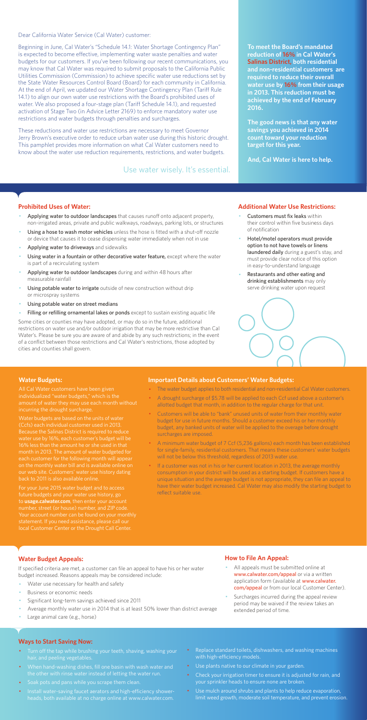Dear California Water Service (Cal Water) customer:

Beginning in June, Cal Water's "Schedule 14.1: Water Shortage Contingency Plan" is expected to become effective, implementing water waste penalties and water budgets for our customers. If you've been following our recent communications, you may know that Cal Water was required to submit proposals to the California Public Utilities Commission (Commission) to achieve specific water use reductions set by the State Water Resources Control Board (Board) for each community in California. At the end of April, we updated our Water Shortage Contingency Plan (Tariff Rule 14.1) to align our own water use restrictions with the Board's prohibited uses of water. We also proposed a four-stage plan (Tariff Schedule 14.1), and requested activation of Stage Two (in Advice Letter 2169) to enforce mandatory water use restrictions and water budgets through penalties and surcharges.

These reductions and water use restrictions are necessary to meet Governor Jerry Brown's executive order to reduce urban water use during this historic drought. This pamphlet provides more information on what Cal Water customers need to know about the water use reduction requirements, restrictions, and water budgets.

#### **Prohibited Uses of Water:**

- Applying water to outdoor landscapes that causes runoff onto adjacent property, non-irrigated areas, private and public walkways, roadways, parking lots, or structures
- Using a hose to wash motor vehicles unless the hose is fitted with a shut-off nozzle or device that causes it to cease dispensing water immediately when not in use
- Applying water to driveways and sidewalks
- Using water in a fountain or other decorative water feature, except where the water is part of a recirculating system
- Applying water to outdoor landscapes during and within 48 hours after measurable rainfall
- Using potable water to irrigate outside of new construction without drip or microspray systems
- Using potable water on street medians
- Filling or refilling ornamental lakes or ponds except to sustain existing aquatic life
- Customers must fix leaks within their control within five business days of notification
- Hotel/motel operators must provide option to not have towels or linens laundered daily during a guest's stay, and must provide clear notice of this option in easy-to-understand language
- Restaurants and other eating and drinking establishments may only serve drinking water upon request



- All appeals must be submitted online at www.calwater.com/appeal or via a written application form (available at www.calwater. com/appeal or from our local Customer Center).
- · Surcharges incurred during the appeal review period may be waived if the review takes an extended period of time.

Some cities or counties may have adopted, or may do so in the future, additional restrictions on water use and/or outdoor irrigation that may be more restrictive than Cal Water's. Please be sure you are aware of and abide by any such restrictions; in the event of a conflict between those restrictions and Cal Water's restrictions, those adopted by cities and counties shall govern.

- Turn off the tap while brushing your teeth, shaving, washing your hair, and peeling vegetables.
- · When hand-washing dishes, fill one basin with wash water and the other with rinse water instead of letting the water run.
- · Soak pots and pans while you scrape them clean.
- · Install water-saving faucet aerators and high-efficiency showerheads, both available at no charge online at www.calwater.com.
- Replace standard toilets, dishwashers, and washing machines with high-efficiency models.
- · Use plants native to our climate in your garden.
- Check your irrigation timer to ensure it is adjusted for rain, and your sprinkler heads to ensure none are broken.
- · Use mulch around shrubs and plants to help reduce evaporation, limit weed growth, moderate soil temperature, and prevent erosion.

**To meet the Board's mandated reduction of 16% in Cal Water's Salinas District, both residential and non-residential customers are required to reduce their overall water use by 16% from their usage in 2013. This reduction must be achieved by the end of February 2016.** 

**The good news is that any water savings you achieved in 2014 count toward your reduction target for this year.** 

**And, Cal Water is here to help.** 

#### **Additional Water Use Restrictions:**

## **Water Budget Appeals:**

If specified criteria are met, a customer can file an appeal to have his or her water budget increased. Reasons appeals may be considered include:

- Water use necessary for health and safety
- Business or economic needs
- Significant long-term savings achieved since 2011
- Average monthly water use in 2014 that is at least 50% lower than district average
- Large animal care (e.g., horse)

If a customer was not in his or her current location in 2013, the average monthly consumption in your district will be used as a starting budget. If customers have a unique situation and the average budget is not appropriate, they can file an appeal to have their water budget increased. Cal Water may also modify the starting budget to reflect suitable use.

## **How to File An Appeal:**

#### **Ways to Start Saving Now:**

Use water wisely. It's essential.

#### **Water Budgets:**

individualized "water budgets," which is the incurring the drought surcharge.

Water budgets are based on the units of water (Ccfs) each individual customer used in 2013. water use by 16%, each customer's budget will be month in 2013. The amount of water budgeted for each customer for the following month will appea on the monthly water bill and is available online on

For your June 2015 water budget and to access future budgets and your water use history, go to **usage.calwater.com**, then enter your account number, street (or house) number, and ZIP code. local Customer Center or the Drought Call Center.

#### **Important Details about Customers' Water Budgets:**

- · The water budget applies to both residential and non-residential Cal Water customers.
- A drought surcharge of \$5.78 will be applied to each Ccf used above a customer's allotted budget that month, in addition to the regular charge for that unit.
- · Customers will be able to "bank" unused units of water from their monthly water budget for use in future months. Should a customer exceed his or her monthly budget, any banked units of water will be applied to the overage before drought surcharges are imposed.
- · A minimum water budget of 7 Ccf (5,236 gallons) each month has been established for single-family, residential customers. That means these customers' water budgets will not be below this threshold, regardless of 2013 water use.